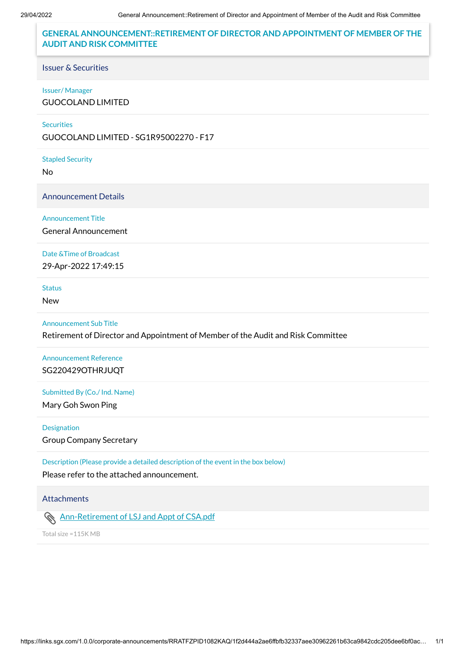# **GENERAL ANNOUNCEMENT::RETIREMENT OF DIRECTOR AND APPOINTMENT OF MEMBER OF THE AUDIT AND RISK COMMITTEE**

## Issuer & Securities

#### Issuer/ Manager

GUOCOLAND LIMITED

### **Securities**

GUOCOLAND LIMITED - SG1R95002270 - F17

#### Stapled Security

No

Announcement Details

### Announcement Title

General Announcement

## Date &Time of Broadcast

29-Apr-2022 17:49:15

## Status

New

## Announcement Sub Title

Retirement of Director and Appointment of Member of the Audit and Risk Committee

# Announcement Reference SG220429OTHRJUQT

## Submitted By (Co./ Ind. Name)

Mary Goh Swon Ping

#### Designation

Group Company Secretary

Description (Please provide a detailed description of the event in the box below)

Please refer to the attached announcement.

# **Attachments**

# **[Ann-Retirement of LSJ and Appt of CSA.pdf](https://links.sgx.com/1.0.0/corporate-announcements/RRATFZPID1082KAQ/715308_Ann-Retirement%20of%20LSJ%20and%20Appt%20of%20CSA.pdf)**

Total size =115K MB